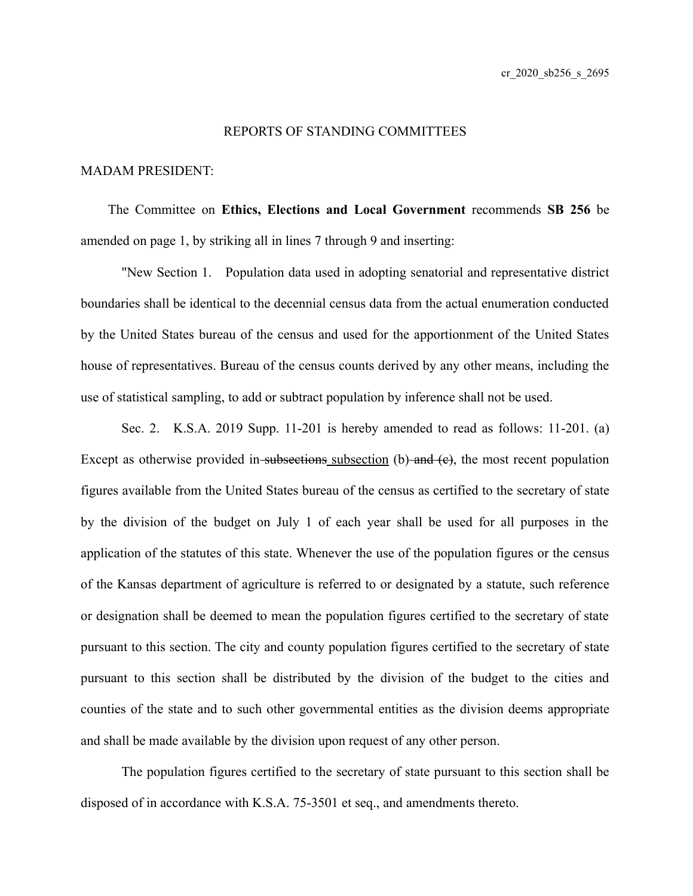## REPORTS OF STANDING COMMITTEES

## MADAM PRESIDENT:

The Committee on **Ethics, Elections and Local Government** recommends **SB 256** be amended on page 1, by striking all in lines 7 through 9 and inserting:

"New Section 1. Population data used in adopting senatorial and representative district boundaries shall be identical to the decennial census data from the actual enumeration conducted by the United States bureau of the census and used for the apportionment of the United States house of representatives. Bureau of the census counts derived by any other means, including the use of statistical sampling, to add or subtract population by inference shall not be used.

Sec. 2. K.S.A. 2019 Supp. 11-201 is hereby amended to read as follows: 11-201. (a) Except as otherwise provided in-subsections subsection  $(b)$  and  $(e)$ , the most recent population figures available from the United States bureau of the census as certified to the secretary of state by the division of the budget on July 1 of each year shall be used for all purposes in the application of the statutes of this state. Whenever the use of the population figures or the census of the Kansas department of agriculture is referred to or designated by a statute, such reference or designation shall be deemed to mean the population figures certified to the secretary of state pursuant to this section. The city and county population figures certified to the secretary of state pursuant to this section shall be distributed by the division of the budget to the cities and counties of the state and to such other governmental entities as the division deems appropriate and shall be made available by the division upon request of any other person.

The population figures certified to the secretary of state pursuant to this section shall be disposed of in accordance with K.S.A. 75-3501 et seq., and amendments thereto.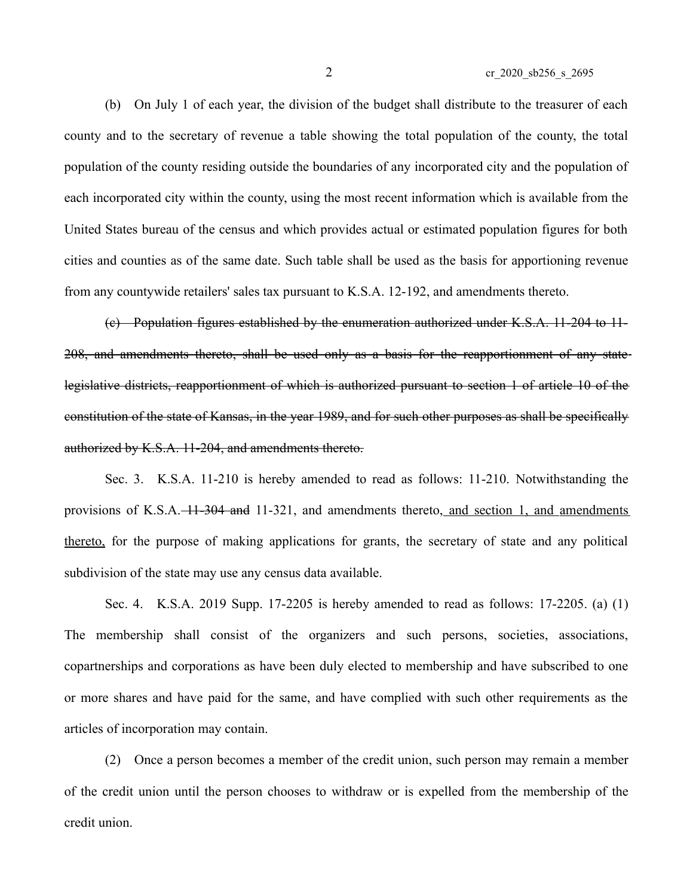(b) On July 1 of each year, the division of the budget shall distribute to the treasurer of each county and to the secretary of revenue a table showing the total population of the county, the total population of the county residing outside the boundaries of any incorporated city and the population of each incorporated city within the county, using the most recent information which is available from the United States bureau of the census and which provides actual or estimated population figures for both cities and counties as of the same date. Such table shall be used as the basis for apportioning revenue from any countywide retailers' sales tax pursuant to K.S.A. 12-192, and amendments thereto.

(c) Population figures established by the enumeration authorized under K.S.A. 11-204 to 11- 208, and amendments thereto, shall be used only as a basis for the reapportionment of any statelegislative districts, reapportionment of which is authorized pursuant to section 1 of article 10 of the constitution of the state of Kansas, in the year 1989, and for such other purposes as shall be specifically authorized by K.S.A. 11-204, and amendments thereto.

Sec. 3. K.S.A. 11-210 is hereby amended to read as follows: 11-210. Notwithstanding the provisions of K.S.A.  $-11-304$  and 11-321, and amendments thereto, and section 1, and amendments thereto, for the purpose of making applications for grants, the secretary of state and any political subdivision of the state may use any census data available.

Sec. 4. K.S.A. 2019 Supp. 17-2205 is hereby amended to read as follows: 17-2205. (a) (1) The membership shall consist of the organizers and such persons, societies, associations, copartnerships and corporations as have been duly elected to membership and have subscribed to one or more shares and have paid for the same, and have complied with such other requirements as the articles of incorporation may contain.

(2) Once a person becomes a member of the credit union, such person may remain a member of the credit union until the person chooses to withdraw or is expelled from the membership of the credit union.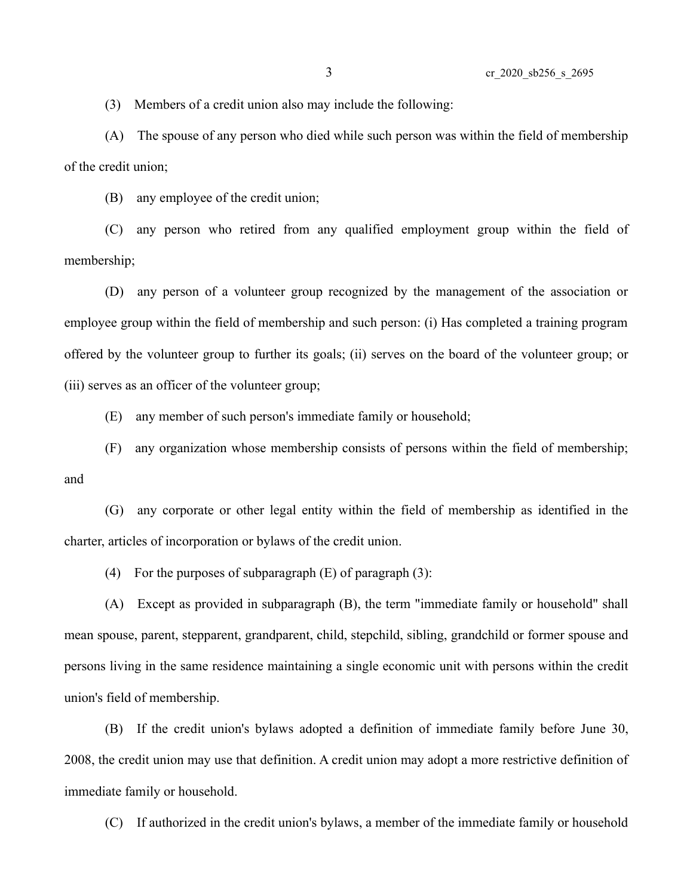(3) Members of a credit union also may include the following:

(A) The spouse of any person who died while such person was within the field of membership of the credit union;

(B) any employee of the credit union;

(C) any person who retired from any qualified employment group within the field of membership;

(D) any person of a volunteer group recognized by the management of the association or employee group within the field of membership and such person: (i) Has completed a training program offered by the volunteer group to further its goals; (ii) serves on the board of the volunteer group; or (iii) serves as an officer of the volunteer group;

(E) any member of such person's immediate family or household;

(F) any organization whose membership consists of persons within the field of membership; and

(G) any corporate or other legal entity within the field of membership as identified in the charter, articles of incorporation or bylaws of the credit union.

(4) For the purposes of subparagraph  $(E)$  of paragraph  $(3)$ :

(A) Except as provided in subparagraph (B), the term "immediate family or household" shall mean spouse, parent, stepparent, grandparent, child, stepchild, sibling, grandchild or former spouse and persons living in the same residence maintaining a single economic unit with persons within the credit union's field of membership.

(B) If the credit union's bylaws adopted a definition of immediate family before June 30, 2008, the credit union may use that definition. A credit union may adopt a more restrictive definition of immediate family or household.

(C) If authorized in the credit union's bylaws, a member of the immediate family or household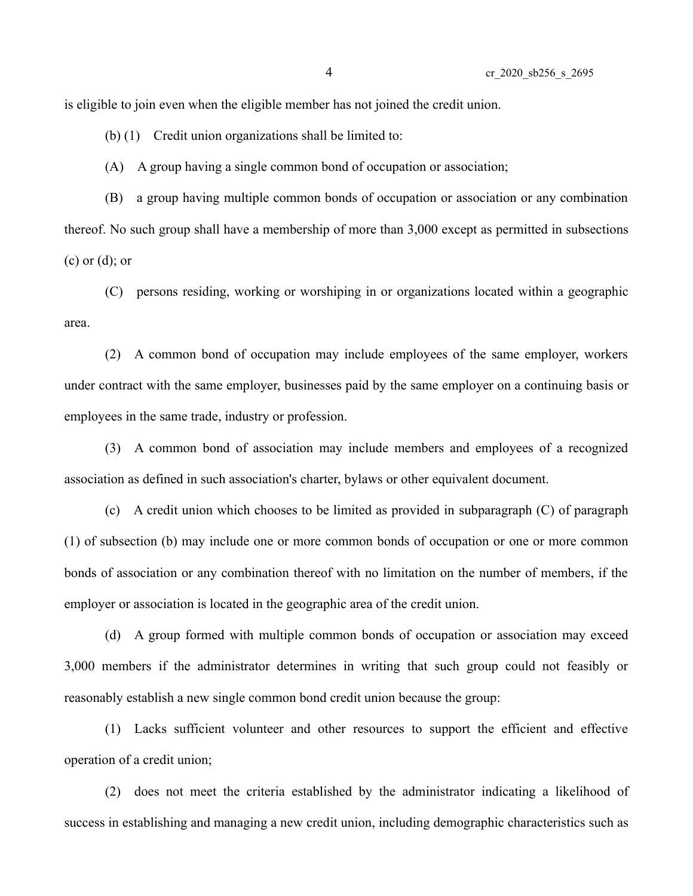is eligible to join even when the eligible member has not joined the credit union.

(b) (1) Credit union organizations shall be limited to:

(A) A group having a single common bond of occupation or association;

(B) a group having multiple common bonds of occupation or association or any combination thereof. No such group shall have a membership of more than 3,000 except as permitted in subsections (c) or (d); or

(C) persons residing, working or worshiping in or organizations located within a geographic area.

(2) A common bond of occupation may include employees of the same employer, workers under contract with the same employer, businesses paid by the same employer on a continuing basis or employees in the same trade, industry or profession.

(3) A common bond of association may include members and employees of a recognized association as defined in such association's charter, bylaws or other equivalent document.

(c) A credit union which chooses to be limited as provided in subparagraph (C) of paragraph (1) of subsection (b) may include one or more common bonds of occupation or one or more common bonds of association or any combination thereof with no limitation on the number of members, if the employer or association is located in the geographic area of the credit union.

(d) A group formed with multiple common bonds of occupation or association may exceed 3,000 members if the administrator determines in writing that such group could not feasibly or reasonably establish a new single common bond credit union because the group:

(1) Lacks sufficient volunteer and other resources to support the efficient and effective operation of a credit union;

(2) does not meet the criteria established by the administrator indicating a likelihood of success in establishing and managing a new credit union, including demographic characteristics such as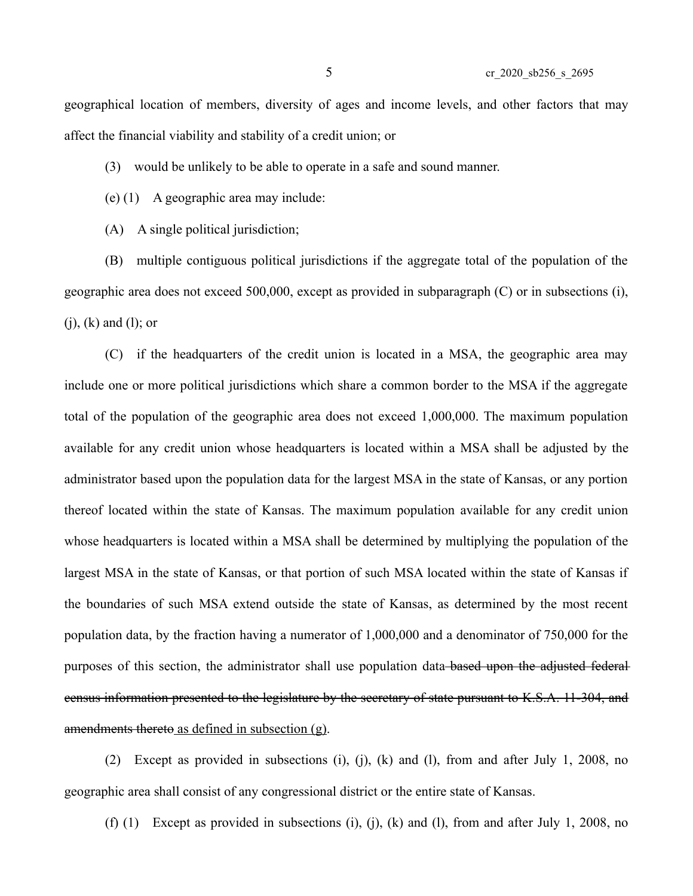geographical location of members, diversity of ages and income levels, and other factors that may affect the financial viability and stability of a credit union; or

(3) would be unlikely to be able to operate in a safe and sound manner.

(e) (1) A geographic area may include:

(A) A single political jurisdiction;

(B) multiple contiguous political jurisdictions if the aggregate total of the population of the geographic area does not exceed 500,000, except as provided in subparagraph (C) or in subsections (i), (j), (k) and (l); or

(C) if the headquarters of the credit union is located in a MSA, the geographic area may include one or more political jurisdictions which share a common border to the MSA if the aggregate total of the population of the geographic area does not exceed 1,000,000. The maximum population available for any credit union whose headquarters is located within a MSA shall be adjusted by the administrator based upon the population data for the largest MSA in the state of Kansas, or any portion thereof located within the state of Kansas. The maximum population available for any credit union whose headquarters is located within a MSA shall be determined by multiplying the population of the largest MSA in the state of Kansas, or that portion of such MSA located within the state of Kansas if the boundaries of such MSA extend outside the state of Kansas, as determined by the most recent population data, by the fraction having a numerator of 1,000,000 and a denominator of 750,000 for the purposes of this section, the administrator shall use population data-based upon the adjusted federal census information presented to the legislature by the secretary of state pursuant to K.S.A. 11-304, and amendments thereto as defined in subsection (g).

(2) Except as provided in subsections (i), (j), (k) and (l), from and after July 1, 2008, no geographic area shall consist of any congressional district or the entire state of Kansas.

(f) (1) Except as provided in subsections (i), (j), (k) and (l), from and after July 1, 2008, no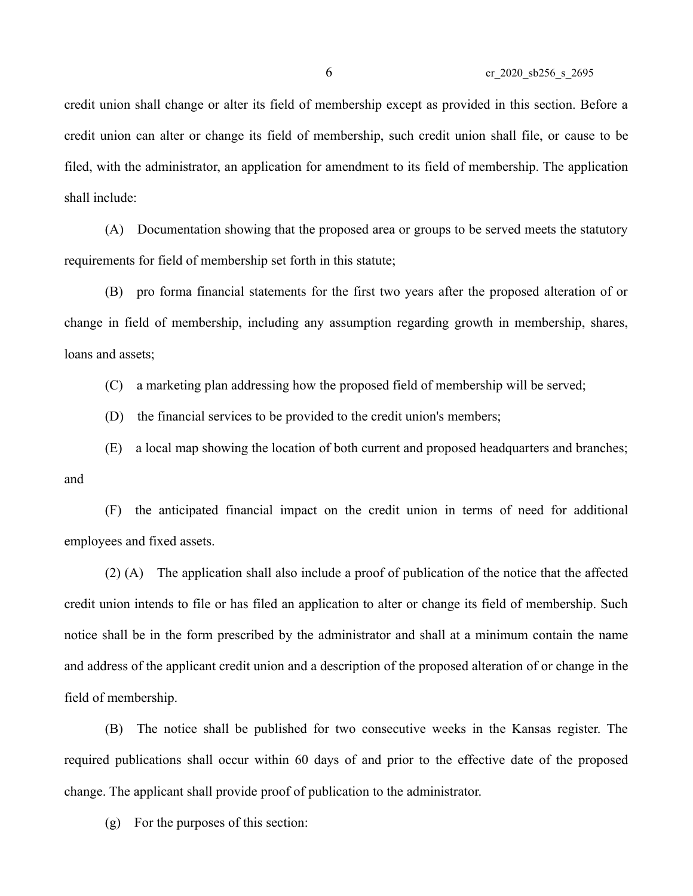credit union shall change or alter its field of membership except as provided in this section. Before a credit union can alter or change its field of membership, such credit union shall file, or cause to be filed, with the administrator, an application for amendment to its field of membership. The application shall include:

(A) Documentation showing that the proposed area or groups to be served meets the statutory requirements for field of membership set forth in this statute;

(B) pro forma financial statements for the first two years after the proposed alteration of or change in field of membership, including any assumption regarding growth in membership, shares, loans and assets;

(C) a marketing plan addressing how the proposed field of membership will be served;

(D) the financial services to be provided to the credit union's members;

(E) a local map showing the location of both current and proposed headquarters and branches; and

(F) the anticipated financial impact on the credit union in terms of need for additional employees and fixed assets.

(2) (A) The application shall also include a proof of publication of the notice that the affected credit union intends to file or has filed an application to alter or change its field of membership. Such notice shall be in the form prescribed by the administrator and shall at a minimum contain the name and address of the applicant credit union and a description of the proposed alteration of or change in the field of membership.

(B) The notice shall be published for two consecutive weeks in the Kansas register. The required publications shall occur within 60 days of and prior to the effective date of the proposed change. The applicant shall provide proof of publication to the administrator.

(g) For the purposes of this section: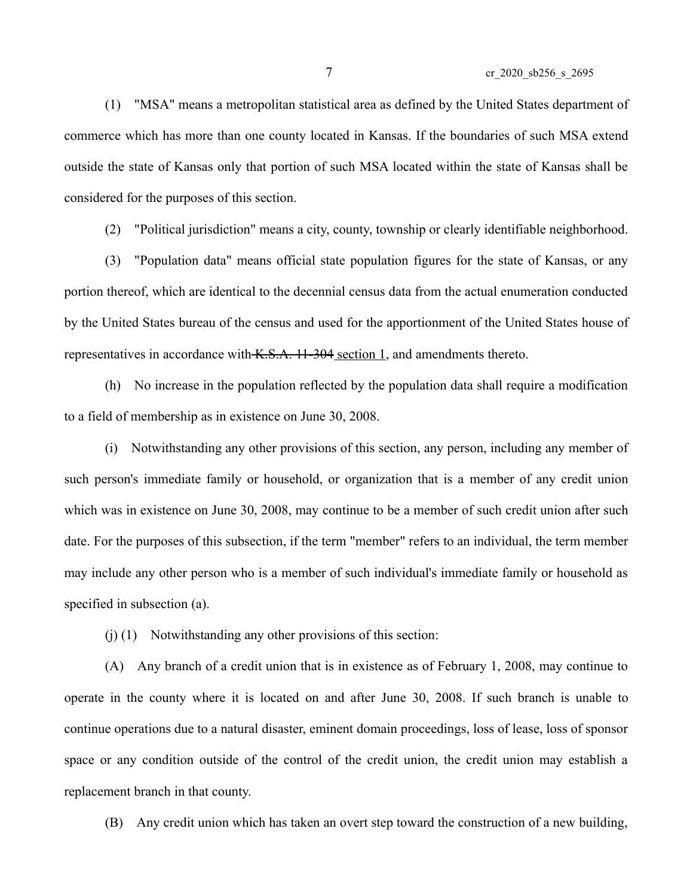(1) "MSA" means a metropolitan statistical area as defined by the United States department of commerce which has more than one county located in Kansas. If the boundaries of such MSA extend outside the state of Kansas only that portion of such MSA located within the state of Kansas shall be considered for the purposes of this section.

(2) "Political jurisdiction" means a city, county, township or clearly identifiable neighborhood.

(3) "Population data" means official state population figures for the state of Kansas, or any portion thereof, which are identical to the decennial census data from the actual enumeration conducted by the United States bureau of the census and used for the apportionment of the United States house of representatives in accordance with K.S.A. 11-304 section 1, and amendments thereto.

(h) No increase in the population reflected by the population data shall require a modification to a field of membership as in existence on June 30, 2008.

(i) Notwithstanding any other provisions of this section, any person, including any member of such person's immediate family or household, or organization that is a member of any credit union which was in existence on June 30, 2008, may continue to be a member of such credit union after such date. For the purposes of this subsection, if the term "member" refers to an individual, the term member may include any other person who is a member of such individual's immediate family or household as specified in subsection (a).

(j) (1) Notwithstanding any other provisions of this section:

(A) Any branch of a credit union that is in existence as of February 1, 2008, may continue to operate in the county where it is located on and after June 30, 2008. If such branch is unable to continue operations due to a natural disaster, eminent domain proceedings, loss of lease, loss of sponsor space or any condition outside of the control of the credit union, the credit union may establish a replacement branch in that county.

(B) Any credit union which has taken an overt step toward the construction of a new building,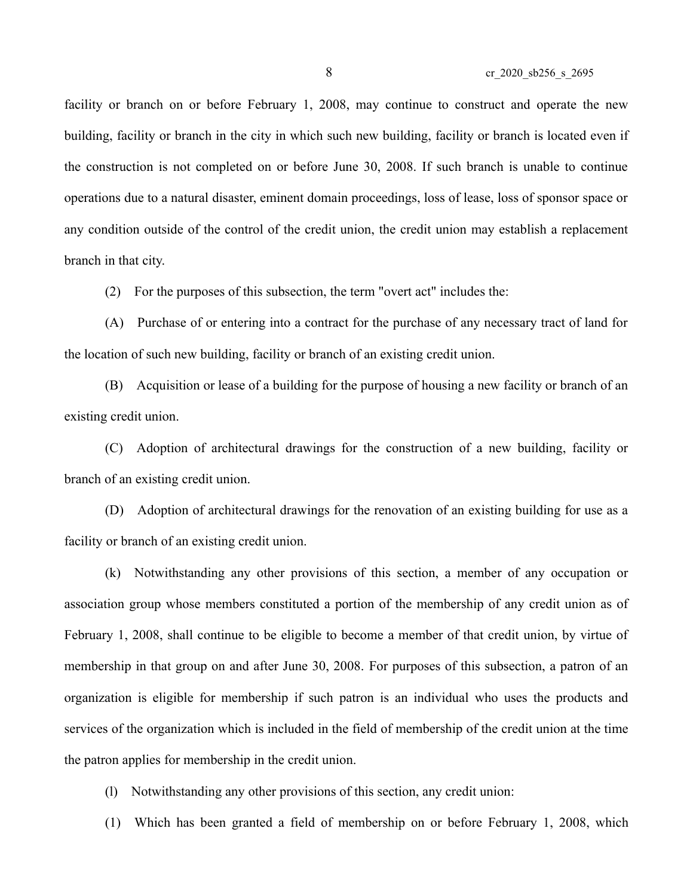facility or branch on or before February 1, 2008, may continue to construct and operate the new building, facility or branch in the city in which such new building, facility or branch is located even if the construction is not completed on or before June 30, 2008. If such branch is unable to continue operations due to a natural disaster, eminent domain proceedings, loss of lease, loss of sponsor space or any condition outside of the control of the credit union, the credit union may establish a replacement branch in that city.

(2) For the purposes of this subsection, the term "overt act" includes the:

(A) Purchase of or entering into a contract for the purchase of any necessary tract of land for the location of such new building, facility or branch of an existing credit union.

(B) Acquisition or lease of a building for the purpose of housing a new facility or branch of an existing credit union.

(C) Adoption of architectural drawings for the construction of a new building, facility or branch of an existing credit union.

(D) Adoption of architectural drawings for the renovation of an existing building for use as a facility or branch of an existing credit union.

(k) Notwithstanding any other provisions of this section, a member of any occupation or association group whose members constituted a portion of the membership of any credit union as of February 1, 2008, shall continue to be eligible to become a member of that credit union, by virtue of membership in that group on and after June 30, 2008. For purposes of this subsection, a patron of an organization is eligible for membership if such patron is an individual who uses the products and services of the organization which is included in the field of membership of the credit union at the time the patron applies for membership in the credit union.

(l) Notwithstanding any other provisions of this section, any credit union:

(1) Which has been granted a field of membership on or before February 1, 2008, which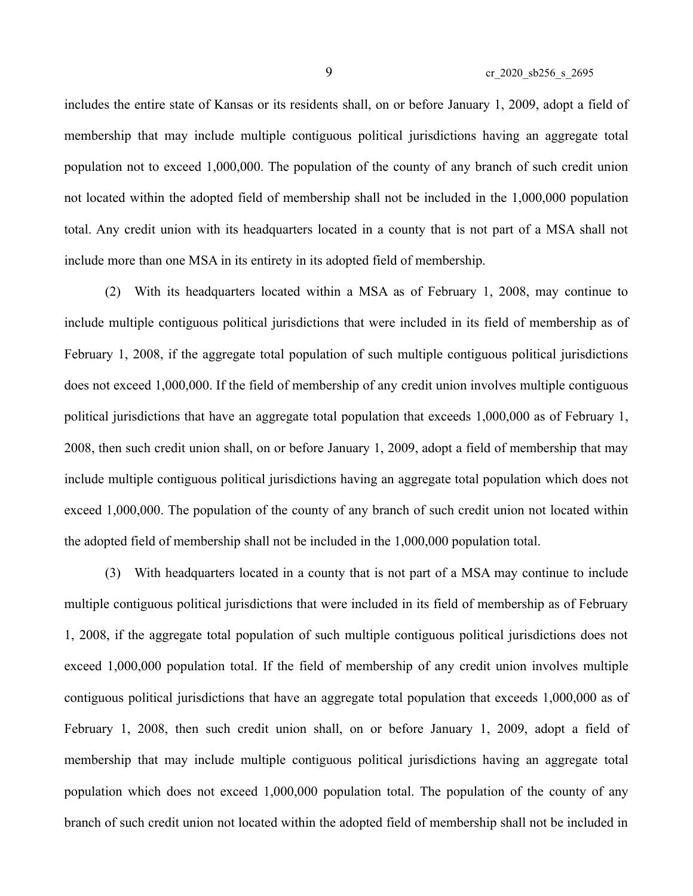includes the entire state of Kansas or its residents shall, on or before January 1, 2009, adopt a field of membership that may include multiple contiguous political jurisdictions having an aggregate total population not to exceed 1,000,000. The population of the county of any branch of such credit union not located within the adopted field of membership shall not be included in the 1,000,000 population total. Any credit union with its headquarters located in a county that is not part of a MSA shall not include more than one MSA in its entirety in its adopted field of membership.

(2) With its headquarters located within a MSA as of February 1, 2008, may continue to include multiple contiguous political jurisdictions that were included in its field of membership as of February 1, 2008, if the aggregate total population of such multiple contiguous political jurisdictions does not exceed 1,000,000. If the field of membership of any credit union involves multiple contiguous political jurisdictions that have an aggregate total population that exceeds 1,000,000 as of February 1, 2008, then such credit union shall, on or before January 1, 2009, adopt a field of membership that may include multiple contiguous political jurisdictions having an aggregate total population which does not exceed 1,000,000. The population of the county of any branch of such credit union not located within the adopted field of membership shall not be included in the 1,000,000 population total.

(3) With headquarters located in a county that is not part of a MSA may continue to include multiple contiguous political jurisdictions that were included in its field of membership as of February 1, 2008, if the aggregate total population of such multiple contiguous political jurisdictions does not exceed 1,000,000 population total. If the field of membership of any credit union involves multiple contiguous political jurisdictions that have an aggregate total population that exceeds 1,000,000 as of February 1, 2008, then such credit union shall, on or before January 1, 2009, adopt a field of membership that may include multiple contiguous political jurisdictions having an aggregate total population which does not exceed 1,000,000 population total. The population of the county of any branch of such credit union not located within the adopted field of membership shall not be included in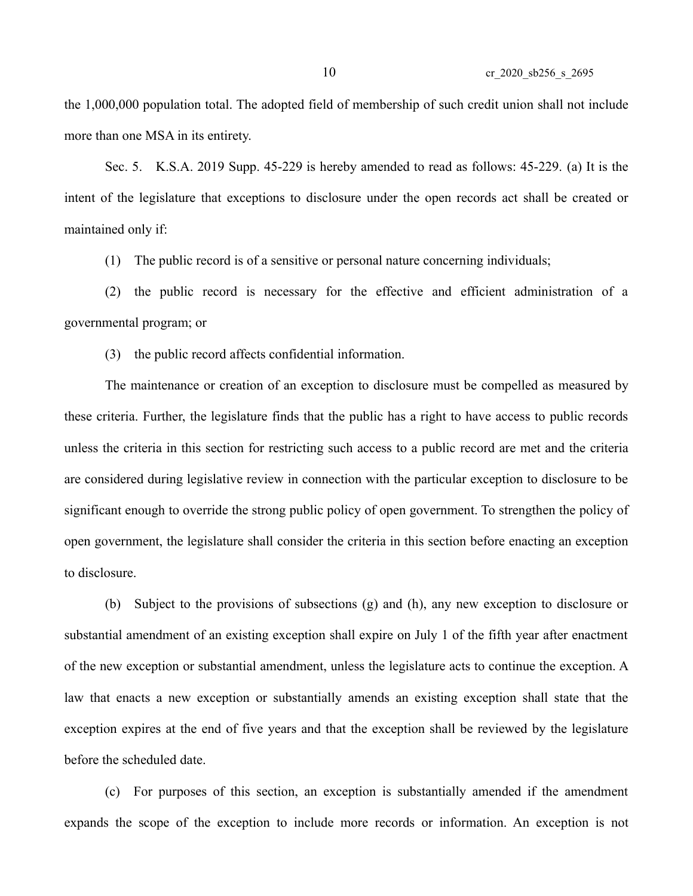the 1,000,000 population total. The adopted field of membership of such credit union shall not include more than one MSA in its entirety.

Sec. 5. K.S.A. 2019 Supp. 45-229 is hereby amended to read as follows: 45-229. (a) It is the intent of the legislature that exceptions to disclosure under the open records act shall be created or maintained only if:

(1) The public record is of a sensitive or personal nature concerning individuals;

(2) the public record is necessary for the effective and efficient administration of a governmental program; or

(3) the public record affects confidential information.

The maintenance or creation of an exception to disclosure must be compelled as measured by these criteria. Further, the legislature finds that the public has a right to have access to public records unless the criteria in this section for restricting such access to a public record are met and the criteria are considered during legislative review in connection with the particular exception to disclosure to be significant enough to override the strong public policy of open government. To strengthen the policy of open government, the legislature shall consider the criteria in this section before enacting an exception to disclosure.

(b) Subject to the provisions of subsections (g) and (h), any new exception to disclosure or substantial amendment of an existing exception shall expire on July 1 of the fifth year after enactment of the new exception or substantial amendment, unless the legislature acts to continue the exception. A law that enacts a new exception or substantially amends an existing exception shall state that the exception expires at the end of five years and that the exception shall be reviewed by the legislature before the scheduled date.

(c) For purposes of this section, an exception is substantially amended if the amendment expands the scope of the exception to include more records or information. An exception is not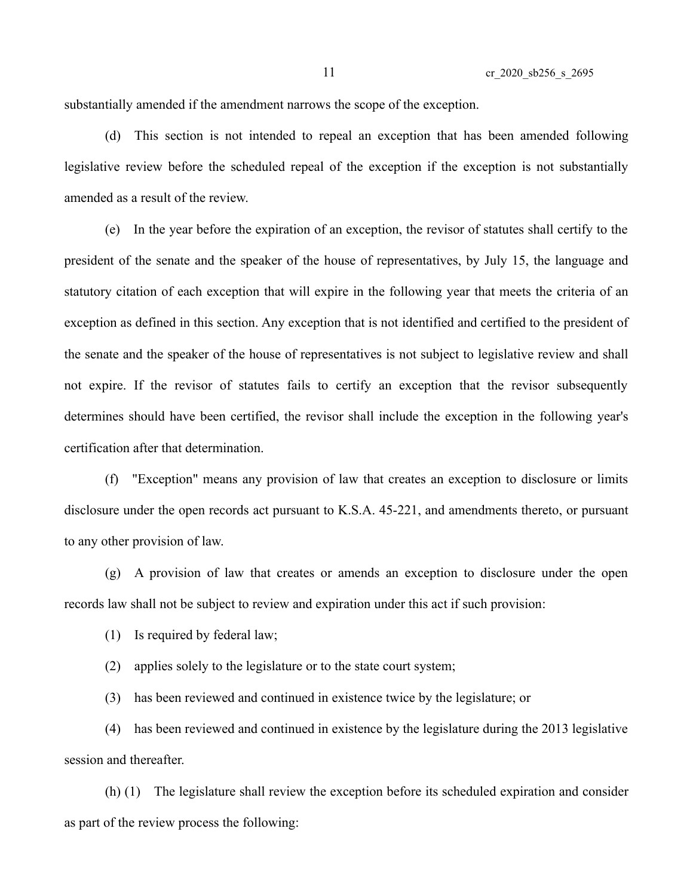substantially amended if the amendment narrows the scope of the exception.

(d) This section is not intended to repeal an exception that has been amended following legislative review before the scheduled repeal of the exception if the exception is not substantially amended as a result of the review.

(e) In the year before the expiration of an exception, the revisor of statutes shall certify to the president of the senate and the speaker of the house of representatives, by July 15, the language and statutory citation of each exception that will expire in the following year that meets the criteria of an exception as defined in this section. Any exception that is not identified and certified to the president of the senate and the speaker of the house of representatives is not subject to legislative review and shall not expire. If the revisor of statutes fails to certify an exception that the revisor subsequently determines should have been certified, the revisor shall include the exception in the following year's certification after that determination.

(f) "Exception" means any provision of law that creates an exception to disclosure or limits disclosure under the open records act pursuant to K.S.A. 45-221, and amendments thereto, or pursuant to any other provision of law.

(g) A provision of law that creates or amends an exception to disclosure under the open records law shall not be subject to review and expiration under this act if such provision:

(1) Is required by federal law;

(2) applies solely to the legislature or to the state court system;

(3) has been reviewed and continued in existence twice by the legislature; or

(4) has been reviewed and continued in existence by the legislature during the 2013 legislative session and thereafter.

(h) (1) The legislature shall review the exception before its scheduled expiration and consider as part of the review process the following: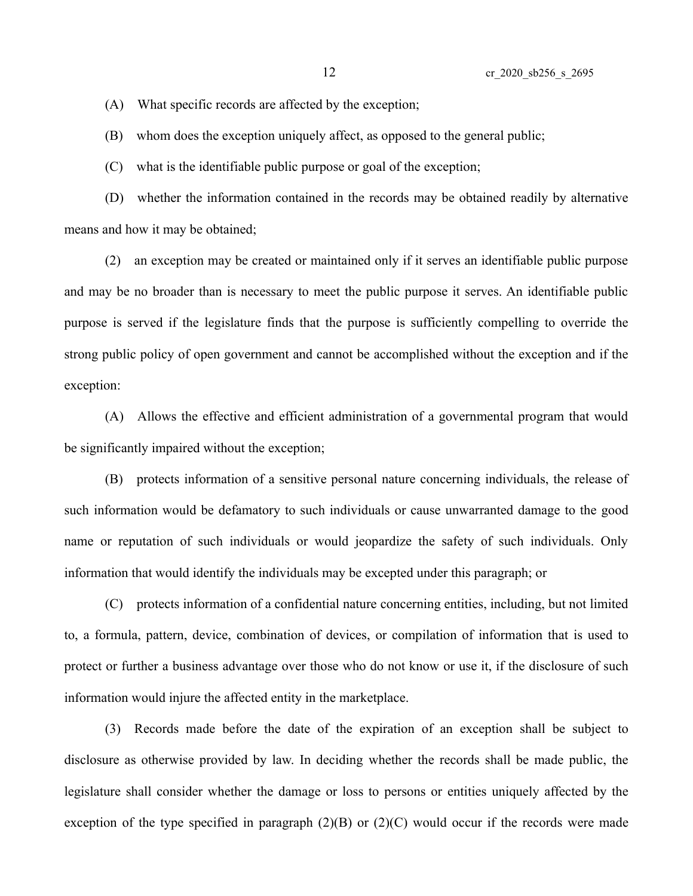(A) What specific records are affected by the exception;

(B) whom does the exception uniquely affect, as opposed to the general public;

(C) what is the identifiable public purpose or goal of the exception;

(D) whether the information contained in the records may be obtained readily by alternative means and how it may be obtained;

(2) an exception may be created or maintained only if it serves an identifiable public purpose and may be no broader than is necessary to meet the public purpose it serves. An identifiable public purpose is served if the legislature finds that the purpose is sufficiently compelling to override the strong public policy of open government and cannot be accomplished without the exception and if the exception:

(A) Allows the effective and efficient administration of a governmental program that would be significantly impaired without the exception;

(B) protects information of a sensitive personal nature concerning individuals, the release of such information would be defamatory to such individuals or cause unwarranted damage to the good name or reputation of such individuals or would jeopardize the safety of such individuals. Only information that would identify the individuals may be excepted under this paragraph; or

(C) protects information of a confidential nature concerning entities, including, but not limited to, a formula, pattern, device, combination of devices, or compilation of information that is used to protect or further a business advantage over those who do not know or use it, if the disclosure of such information would injure the affected entity in the marketplace.

(3) Records made before the date of the expiration of an exception shall be subject to disclosure as otherwise provided by law. In deciding whether the records shall be made public, the legislature shall consider whether the damage or loss to persons or entities uniquely affected by the exception of the type specified in paragraph  $(2)(B)$  or  $(2)(C)$  would occur if the records were made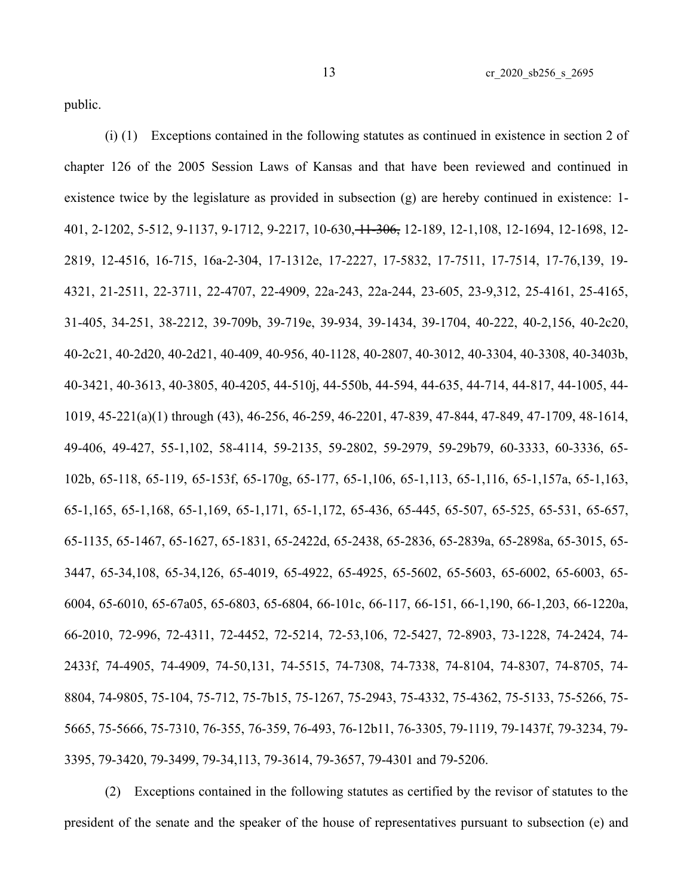public.

(i) (1) Exceptions contained in the following statutes as continued in existence in section 2 of chapter 126 of the 2005 Session Laws of Kansas and that have been reviewed and continued in existence twice by the legislature as provided in subsection (g) are hereby continued in existence: 1- 401, 2-1202, 5-512, 9-1137, 9-1712, 9-2217, 10-630, 11-306, 12-189, 12-1,108, 12-1694, 12-1698, 12- 2819, 12-4516, 16-715, 16a-2-304, 17-1312e, 17-2227, 17-5832, 17-7511, 17-7514, 17-76,139, 19- 4321, 21-2511, 22-3711, 22-4707, 22-4909, 22a-243, 22a-244, 23-605, 23-9,312, 25-4161, 25-4165, 31-405, 34-251, 38-2212, 39-709b, 39-719e, 39-934, 39-1434, 39-1704, 40-222, 40-2,156, 40-2c20, 40-2c21, 40-2d20, 40-2d21, 40-409, 40-956, 40-1128, 40-2807, 40-3012, 40-3304, 40-3308, 40-3403b, 40-3421, 40-3613, 40-3805, 40-4205, 44-510j, 44-550b, 44-594, 44-635, 44-714, 44-817, 44-1005, 44- 1019, 45-221(a)(1) through (43), 46-256, 46-259, 46-2201, 47-839, 47-844, 47-849, 47-1709, 48-1614, 49-406, 49-427, 55-1,102, 58-4114, 59-2135, 59-2802, 59-2979, 59-29b79, 60-3333, 60-3336, 65- 102b, 65-118, 65-119, 65-153f, 65-170g, 65-177, 65-1,106, 65-1,113, 65-1,116, 65-1,157a, 65-1,163, 65-1,165, 65-1,168, 65-1,169, 65-1,171, 65-1,172, 65-436, 65-445, 65-507, 65-525, 65-531, 65-657, 65-1135, 65-1467, 65-1627, 65-1831, 65-2422d, 65-2438, 65-2836, 65-2839a, 65-2898a, 65-3015, 65- 3447, 65-34,108, 65-34,126, 65-4019, 65-4922, 65-4925, 65-5602, 65-5603, 65-6002, 65-6003, 65- 6004, 65-6010, 65-67a05, 65-6803, 65-6804, 66-101c, 66-117, 66-151, 66-1,190, 66-1,203, 66-1220a, 66-2010, 72-996, 72-4311, 72-4452, 72-5214, 72-53,106, 72-5427, 72-8903, 73-1228, 74-2424, 74- 2433f, 74-4905, 74-4909, 74-50,131, 74-5515, 74-7308, 74-7338, 74-8104, 74-8307, 74-8705, 74- 8804, 74-9805, 75-104, 75-712, 75-7b15, 75-1267, 75-2943, 75-4332, 75-4362, 75-5133, 75-5266, 75- 5665, 75-5666, 75-7310, 76-355, 76-359, 76-493, 76-12b11, 76-3305, 79-1119, 79-1437f, 79-3234, 79- 3395, 79-3420, 79-3499, 79-34,113, 79-3614, 79-3657, 79-4301 and 79-5206.

(2) Exceptions contained in the following statutes as certified by the revisor of statutes to the president of the senate and the speaker of the house of representatives pursuant to subsection (e) and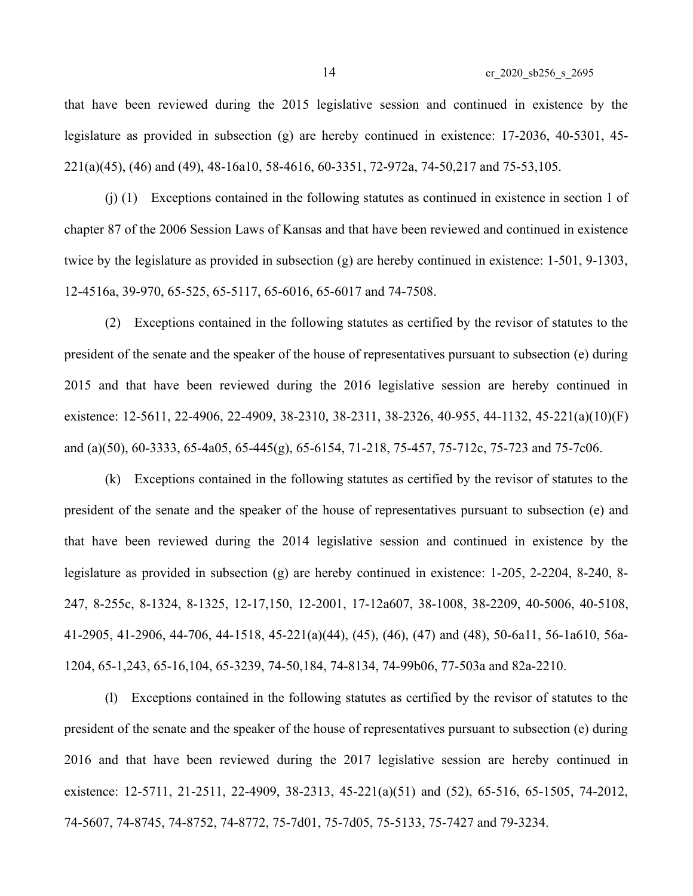that have been reviewed during the 2015 legislative session and continued in existence by the legislature as provided in subsection (g) are hereby continued in existence: 17-2036, 40-5301, 45- 221(a)(45), (46) and (49), 48-16a10, 58-4616, 60-3351, 72-972a, 74-50,217 and 75-53,105.

(j) (1) Exceptions contained in the following statutes as continued in existence in section 1 of chapter 87 of the 2006 Session Laws of Kansas and that have been reviewed and continued in existence twice by the legislature as provided in subsection (g) are hereby continued in existence: 1-501, 9-1303, 12-4516a, 39-970, 65-525, 65-5117, 65-6016, 65-6017 and 74-7508.

(2) Exceptions contained in the following statutes as certified by the revisor of statutes to the president of the senate and the speaker of the house of representatives pursuant to subsection (e) during 2015 and that have been reviewed during the 2016 legislative session are hereby continued in existence: 12-5611, 22-4906, 22-4909, 38-2310, 38-2311, 38-2326, 40-955, 44-1132, 45-221(a)(10)(F) and (a)(50), 60-3333, 65-4a05, 65-445(g), 65-6154, 71-218, 75-457, 75-712c, 75-723 and 75-7c06.

(k) Exceptions contained in the following statutes as certified by the revisor of statutes to the president of the senate and the speaker of the house of representatives pursuant to subsection (e) and that have been reviewed during the 2014 legislative session and continued in existence by the legislature as provided in subsection (g) are hereby continued in existence: 1-205, 2-2204, 8-240, 8- 247, 8-255c, 8-1324, 8-1325, 12-17,150, 12-2001, 17-12a607, 38-1008, 38-2209, 40-5006, 40-5108, 41-2905, 41-2906, 44-706, 44-1518, 45-221(a)(44), (45), (46), (47) and (48), 50-6a11, 56-1a610, 56a-1204, 65-1,243, 65-16,104, 65-3239, 74-50,184, 74-8134, 74-99b06, 77-503a and 82a-2210.

(l) Exceptions contained in the following statutes as certified by the revisor of statutes to the president of the senate and the speaker of the house of representatives pursuant to subsection (e) during 2016 and that have been reviewed during the 2017 legislative session are hereby continued in existence: 12-5711, 21-2511, 22-4909, 38-2313, 45-221(a)(51) and (52), 65-516, 65-1505, 74-2012, 74-5607, 74-8745, 74-8752, 74-8772, 75-7d01, 75-7d05, 75-5133, 75-7427 and 79-3234.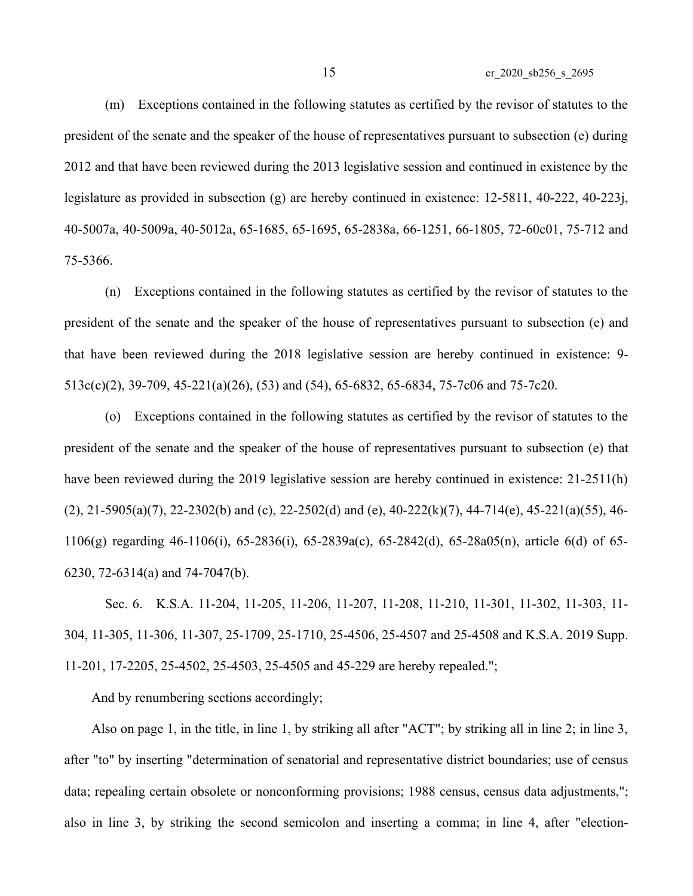(m) Exceptions contained in the following statutes as certified by the revisor of statutes to the president of the senate and the speaker of the house of representatives pursuant to subsection (e) during 2012 and that have been reviewed during the 2013 legislative session and continued in existence by the legislature as provided in subsection (g) are hereby continued in existence: 12-5811, 40-222, 40-223j, 40-5007a, 40-5009a, 40-5012a, 65-1685, 65-1695, 65-2838a, 66-1251, 66-1805, 72-60c01, 75-712 and 75-5366.

(n) Exceptions contained in the following statutes as certified by the revisor of statutes to the president of the senate and the speaker of the house of representatives pursuant to subsection (e) and that have been reviewed during the 2018 legislative session are hereby continued in existence: 9- 513c(c)(2), 39-709, 45-221(a)(26), (53) and (54), 65-6832, 65-6834, 75-7c06 and 75-7c20.

(o) Exceptions contained in the following statutes as certified by the revisor of statutes to the president of the senate and the speaker of the house of representatives pursuant to subsection (e) that have been reviewed during the 2019 legislative session are hereby continued in existence: 21-2511(h)  $(2)$ , 21-5905(a)(7), 22-2302(b) and (c), 22-2502(d) and (e), 40-222(k)(7), 44-714(e), 45-221(a)(55), 46-1106(g) regarding 46-1106(i), 65-2836(i), 65-2839a(c), 65-2842(d), 65-28a05(n), article 6(d) of 65- 6230, 72-6314(a) and 74-7047(b).

Sec. 6. K.S.A. 11-204, 11-205, 11-206, 11-207, 11-208, 11-210, 11-301, 11-302, 11-303, 11- 304, 11-305, 11-306, 11-307, 25-1709, 25-1710, 25-4506, 25-4507 and 25-4508 and K.S.A. 2019 Supp. 11-201, 17-2205, 25-4502, 25-4503, 25-4505 and 45-229 are hereby repealed.";

And by renumbering sections accordingly;

Also on page 1, in the title, in line 1, by striking all after "ACT"; by striking all in line 2; in line 3, after "to" by inserting "determination of senatorial and representative district boundaries; use of census data; repealing certain obsolete or nonconforming provisions; 1988 census, census data adjustments,"; also in line 3, by striking the second semicolon and inserting a comma; in line 4, after "election-